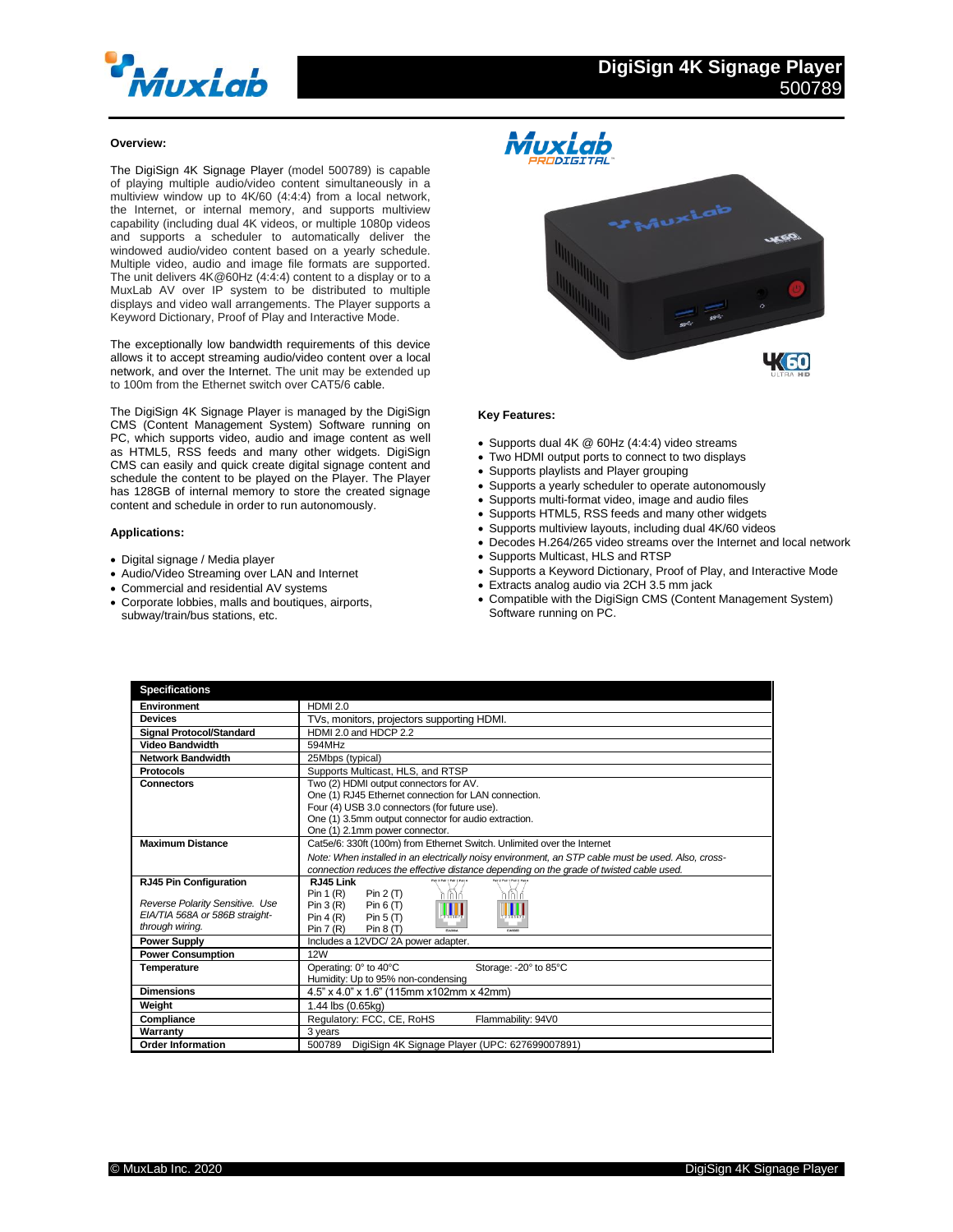

460

## **Overview:**

The DigiSign 4K Signage Player (model 500789) is capable of playing multiple audio/video content simultaneously in a multiview window up to 4K/60 (4:4:4) from a local network, the Internet, or internal memory, and supports multiview capability (including dual 4K videos, or multiple 1080p videos and supports a scheduler to automatically deliver the windowed audio/video content based on a yearly schedule. Multiple video, audio and image file formats are supported. The unit delivers 4K@60Hz (4:4:4) content to a display or to a MuxLab AV over IP system to be distributed to multiple displays and video wall arrangements. The Player supports a Keyword Dictionary, Proof of Play and Interactive Mode.

The exceptionally low bandwidth requirements of this device allows it to accept streaming audio/video content over a local network, and over the Internet. The unit may be extended up to 100m from the Ethernet switch over CAT5/6 cable.

The DigiSign 4K Signage Player is managed by the DigiSign CMS (Content Management System) Software running on PC, which supports video, audio and image content as well as HTML5, RSS feeds and many other widgets. DigiSign CMS can easily and quick create digital signage content and schedule the content to be played on the Player. The Player has 128GB of internal memory to store the created signage content and schedule in order to run autonomously.

#### **Applications:**

- Digital signage / Media player
- Audio/Video Streaming over LAN and Internet
- Commercial and residential AV systems
- Corporate lobbies, malls and boutiques, airports, subway/train/bus stations, etc.



### **Key Features:**

- Supports dual 4K @ 60Hz (4:4:4) video streams
- Two HDMI output ports to connect to two displays
	- Supports playlists and Player grouping
	- Supports a yearly scheduler to operate autonomously
	- Supports multi-format video, image and audio files
	- Supports HTML5, RSS feeds and many other widgets
	- Supports multiview layouts, including dual 4K/60 videos
	- Decodes H.264/265 video streams over the Internet and local network
	- Supports Multicast, HLS and RTSP
	- Supports a Keyword Dictionary, Proof of Play, and Interactive Mode
	- Extracts analog audio via 2CH 3.5 mm jack
	- Compatible with the DigiSign CMS (Content Management System) Software running on PC.

| <b>Specifications</b>                                                                |                                                                                                                                                                                                                                           |
|--------------------------------------------------------------------------------------|-------------------------------------------------------------------------------------------------------------------------------------------------------------------------------------------------------------------------------------------|
| Environment                                                                          | <b>HDMI 2.0</b>                                                                                                                                                                                                                           |
| <b>Devices</b>                                                                       | TVs, monitors, projectors supporting HDMI.                                                                                                                                                                                                |
| <b>Signal Protocol/Standard</b>                                                      | HDMI 2.0 and HDCP 2.2                                                                                                                                                                                                                     |
| <b>Video Bandwidth</b>                                                               | 594MHz                                                                                                                                                                                                                                    |
| <b>Network Bandwidth</b>                                                             | 25Mbps (typical)                                                                                                                                                                                                                          |
| Protocols                                                                            | Supports Multicast, HLS, and RTSP                                                                                                                                                                                                         |
| <b>Connectors</b>                                                                    | Two (2) HDMI output connectors for AV.<br>One (1) RJ45 Ethernet connection for LAN connection.<br>Four (4) USB 3.0 connectors (for future use).<br>One (1) 3.5mm output connector for audio extraction.<br>One (1) 2.1mm power connector. |
| <b>Maximum Distance</b>                                                              | Cat5e/6: 330ft (100m) from Ethernet Switch. Unlimited over the Internet                                                                                                                                                                   |
|                                                                                      | Note: When installed in an electrically noisy environment, an STP cable must be used. Also, cross-<br>connection reduces the effective distance depending on the grade of twisted cable used.                                             |
| <b>RJ45 Pin Configuration</b>                                                        | RJ45 Link                                                                                                                                                                                                                                 |
| Reverse Polarity Sensitive. Use<br>EIA/TIA 568A or 586B straight-<br>through wiring. | Pin $1(R)$<br>Pin $2(T)$<br>Pin 3(R)<br>Pin $6(T)$<br>Pin $5(T)$<br>Pin $4(R)$<br>Pin 7(R)<br>Pin $8(T)$<br>514,666.9<br>FLASKAR                                                                                                          |
| <b>Power Supply</b>                                                                  | Includes a 12VDC/2A power adapter.                                                                                                                                                                                                        |
| <b>Power Consumption</b>                                                             | 12W                                                                                                                                                                                                                                       |
| <b>Temperature</b>                                                                   | Operating: 0° to 40°C<br>Storage: - 20° to 85°C<br>Humidity: Up to 95% non-condensing                                                                                                                                                     |
| <b>Dimensions</b>                                                                    | 4.5" x 4.0" x 1.6" (115mm x102mm x 42mm)                                                                                                                                                                                                  |
| Weight                                                                               | 1.44 lbs (0.65kg)                                                                                                                                                                                                                         |
| Compliance                                                                           | Regulatory: FCC, CE, RoHS<br>Flammability: 94V0                                                                                                                                                                                           |
| Warranty                                                                             | 3 years                                                                                                                                                                                                                                   |
| <b>Order Information</b>                                                             | DigiSign 4K Signage Player (UPC: 627699007891)<br>500789                                                                                                                                                                                  |